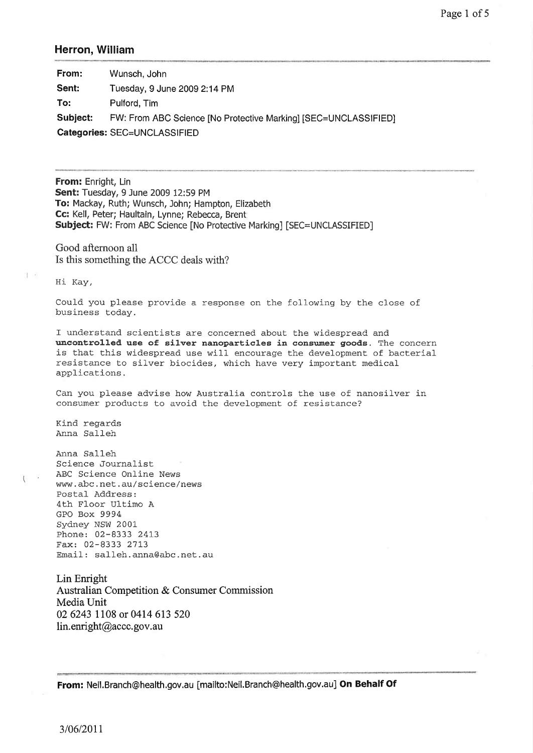## Herron, William

| From:                        | Wunsch, John                                                    |  |
|------------------------------|-----------------------------------------------------------------|--|
| Sent:                        | Tuesday, 9 June 2009 2:14 PM                                    |  |
| To:                          | Pulford, Tim                                                    |  |
| Subject:                     | FW: From ABC Science [No Protective Marking] [SEC=UNCLASSIFIED] |  |
| Categories: SEC=UNCLASSIFIED |                                                                 |  |

From: Enright, Lin Sent: Tuesday, 9 June 2009 12:59 PM To: Mackay, Ruth; Wunsch, John; Hampton, Elizabeth Cc: Kell, Peter; Haultain, Lynne; Rebecca, Brent Subject: FW: From ABC Science [No Protective Marking] [SEC=UNCLASSIFIED]

Good afternoon all Is this something the ACCC deals with?

Hi Kay,

9. P

Could you please provide a response on the following by the close of business today.

I understand scientists are concerned about the widespread and uncontrolled use of silver nanoparticles in consumer goods. The concern is that this widespread use will encourage the development of bacterial resistance to silver biocides, which have very important medical applications.

Can you please advise how Australia controls the use of nanosilver in consumer products to avoid the development of resistance?

Kind regards Anna Salleh

.Anna Salleh Science Journalíst ABC Science Online News www.abc.net.au/science/news Postal Address: 4th Floor Ultimo <sup>A</sup> GPO Box 9994 Sydney NSW 2001- Phone: 02-8333 2413 Fax: 02-8333 27L3 Email: salleh.anna@abc.net.au

Lin Enright Australian Competition & Consumer Commission MediaUnit 02 6243 1108 or 0414 613 520 lin. enright@accc. gov. au

From: Neil. Branch@health.gov.au [mailto: Neil. Branch@health.gov.au] On Behalf Of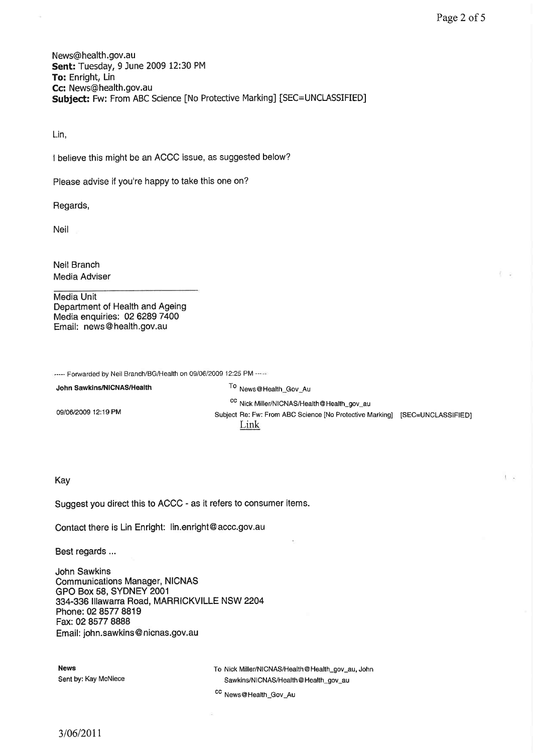L.

News@health.gov.au Sent: Tuesday, 9 June 2009 12:30 PM To: Enright, Lin Cc: News@health,gov.au Subject: Fw: From ABC Science [No Protective Marking] [SEC=UNCLASSIFIED]

Lin,

I believe this might be an ACCC issue, as suggested below?

Please advise if you're happy to take this one on?

Regards,

Neil

Neil Branch Media Adviser

Media Unit Department of Health and Ageing Media enquiries: 02 6289 7400 Email: news @ health.gov.au

----- Forwarded by Neil Branch/BG/Health on 09/06/2009 12:25 PM -----

| John Sawkins/NICNAS/Health | <sup>To</sup> News@Health_Gov_Au                                                                                                             |  |
|----------------------------|----------------------------------------------------------------------------------------------------------------------------------------------|--|
| 09/06/2009 12:19 PM        | <sup>CC</sup> Nick Miller/NICNAS/Health@Health_gov_au<br>Subject Re: Fw: From ABC Science [No Protective Marking] [SEC=UNCLASSIFIED]<br>Link |  |

## Kay

Suggest you direct this to ACCC - as it refers to consumer items.

Contact there is Lin Enright: lin.enright@accc.gov.au

Best regards ...

John Sawkins Communications Manager, NICNAS GPO Box 58, SYDNEY 2001 334-336 lllawarra Road, MARRICKVILLE NSW 2204 Phone:02 8577 8819 Fax: 02 8577 8888 Email: john.sawkins @ nicnas.gov.au

News To Nick Miller/N|CNAS/Health@Health\_gov\_au, John Sent by: Kay McNiece Sawkins/NICNAS/Health@Health\_gov\_au

cc News@Health\_Gov\_Au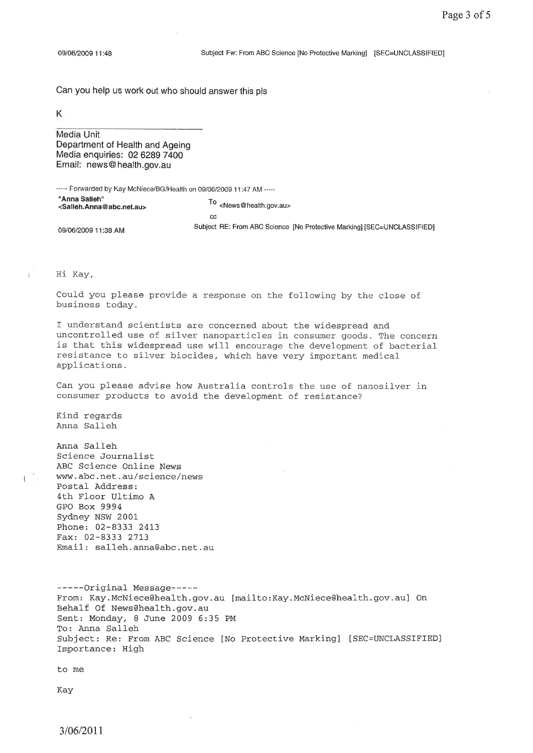Can you help us work out who should answer this pls

K

Media Unit Department of Health and Ageing Media enquiries: 02 6289 7400 Email: news@ health.gov.au

----- Forwarded by Kay McNiece/BG/Health on 09/06/2009 11:47 AM -----

| "Anna Salleh"<br><salleh.anna@abc.net.au></salleh.anna@abc.net.au> | <news@health.gov.au></news@health.gov.au>                               |  |
|--------------------------------------------------------------------|-------------------------------------------------------------------------|--|
|                                                                    | cc                                                                      |  |
| 09/06/2009 11:38 AM                                                | Subject RE: From ABC Science [No Protective Marking] [SEC=UNCLASSIFIED] |  |

Hi Kay,

Could you please provide a response on the following by the close of business Loday.

I understand scientists are concerned about the widespread and uncontrolled use of silver nanoparticles in consumer goods. The concern is that this widespread use will encourage the development of bacterial resistance to silver biocides, which have very important medical applications.

Can you please advise how Australia controls the use of nanosiLver in consumer products to avoid the development of resistance?

Kind regards Anna Salleh Anna Salleh Science Journalist. ABC Science Online News ( www.abc.net.au/science/news Postal Address: 4th Floor Ultimo A GPO Box 9994 Sydney NSW 2001- Phone: 02-8333 2413 Fax: 02-8333 2713 Email: salleh.anna@abc.net.au -----Original Message-----From: Kay.McNiece@health.gov.au [mailto:Kay.McNiece@health.gov.au] On Behalf Of News@health.gov.au Sent: Monday, 8 June 2009 6:35 PM To: Anna Sal1eh Subject: Re: From ABC Science [No Protective Marking] [SEC=UNCLASSIFIED] Importance: High

to me

Kay

3/06/2011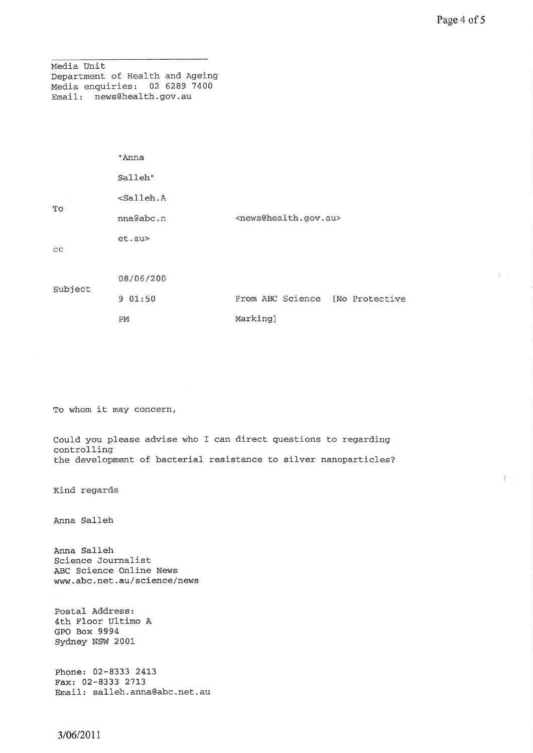Medía Unit Department of Health and Ageing Media enquiries: 02 6289 7400 Email: news@health.gov.au

|             | "Anna                                  |                                           |
|-------------|----------------------------------------|-------------------------------------------|
|             | Salleh"                                |                                           |
| $_{\rm TO}$ | <salleh.a< td=""><td></td></salleh.a<> |                                           |
|             | nna@abc.n                              | <news@health.gov.au></news@health.gov.au> |
| cc          | et.au>                                 |                                           |
| Subject     | 08/06/200                              |                                           |
|             | 01:50<br>9                             | From ABC Science<br>[No Protective        |
|             | PM                                     | Marking]                                  |

To whom it may concern,

Could you please advise who I can direct questions to regarding controlling the development of bacterial resistance to silver nanoparticles?

Kind regards

,Anna Salleh

Anna Salleh Science Journalist ABC Science Online News www.abc.net.au/science/news

Postal Address: 4th Floor Ultimo A GPO Box 9994 Sydney NSW 2001

Phone: 02-8333 2413 Fax: 02-8333 2713 Email : salleh. anna@abc.net. au 6. c

F.